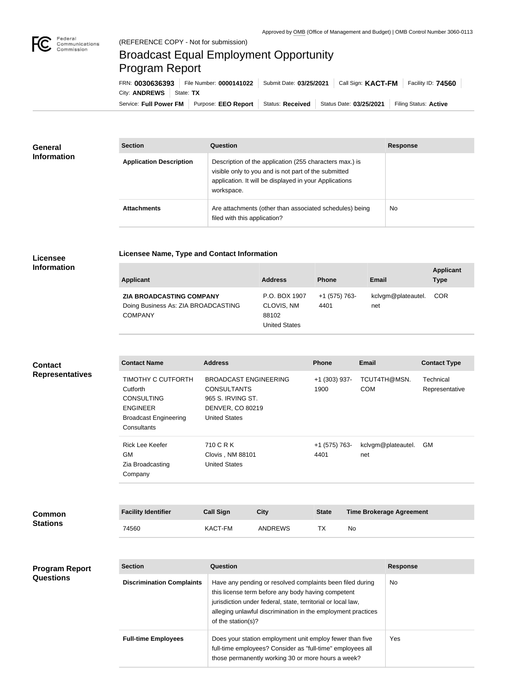

## Broadcast Equal Employment Opportunity Program Report

**Licensee Name, Type and Contact Information**

Service: Full Power FM Purpose: EEO Report | Status: Received | Status Date: 03/25/2021 | Filing Status: Active City: **ANDREWS** State: TX FRN: **0030636393** File Number: **0000141022** Submit Date: **03/25/2021** Call Sign: **KACT-FM** Facility ID: **74560**

| <b>General</b><br><b>Information</b> | <b>Section</b>                 | <b>Question</b>                                                                                                                                                                         | <b>Response</b> |
|--------------------------------------|--------------------------------|-----------------------------------------------------------------------------------------------------------------------------------------------------------------------------------------|-----------------|
|                                      | <b>Application Description</b> | Description of the application (255 characters max.) is<br>visible only to you and is not part of the submitted<br>application. It will be displayed in your Applications<br>workspace. |                 |
|                                      | <b>Attachments</b>             | Are attachments (other than associated schedules) being<br>filed with this application?                                                                                                 | <b>No</b>       |

## **Licensee Information**

| <b>Applicant</b>                                                                  | <b>Address</b>                                               | <b>Phone</b>          | Email                     | <b>Applicant</b><br><b>Type</b> |
|-----------------------------------------------------------------------------------|--------------------------------------------------------------|-----------------------|---------------------------|---------------------------------|
| ZIA BROADCASTING COMPANY<br>Doing Business As: ZIA BROADCASTING<br><b>COMPANY</b> | P.O. BOX 1907<br>CLOVIS, NM<br>88102<br><b>United States</b> | +1 (575) 763-<br>4401 | kclvgm@plateautel.<br>net | <b>COR</b>                      |

**Contact Name Address Phone Email Contact Type** TIMOTHY C CUTFORTH **Cutforth** CONSULTING ENGINEER Broadcast Engineering **Consultants** BROADCAST ENGINEERING CONSULTANTS 965 S. IRVING ST. DENVER, CO 80219 United States +1 (303) 937- 1900 TCUT4TH@MSN. COM Technical Representative Rick Lee Keefer GM Zia Broadcasting Company 710 C R K Clovis , NM 88101 United States +1 (575) 763- 4401 kclvgm@plateautel. GM net **Contact Representatives**

| <b>Common</b><br><b>Stations</b> | <b>Facility Identifier</b> | <b>Call Sign</b> | City           | <b>State</b> | <b>Time Brokerage Agreement</b> |
|----------------------------------|----------------------------|------------------|----------------|--------------|---------------------------------|
|                                  | 74560                      | KACT-FM          | <b>ANDREWS</b> |              | No                              |

| <b>Program Report</b><br><b>Questions</b> | <b>Section</b>                   | Question                                                                                                                                                                                                                                                              | <b>Response</b> |
|-------------------------------------------|----------------------------------|-----------------------------------------------------------------------------------------------------------------------------------------------------------------------------------------------------------------------------------------------------------------------|-----------------|
|                                           | <b>Discrimination Complaints</b> | Have any pending or resolved complaints been filed during<br>this license term before any body having competent<br>jurisdiction under federal, state, territorial or local law,<br>alleging unlawful discrimination in the employment practices<br>of the station(s)? | No.             |
|                                           | <b>Full-time Employees</b>       | Does your station employment unit employ fewer than five<br>full-time employees? Consider as "full-time" employees all<br>those permanently working 30 or more hours a week?                                                                                          | Yes:            |